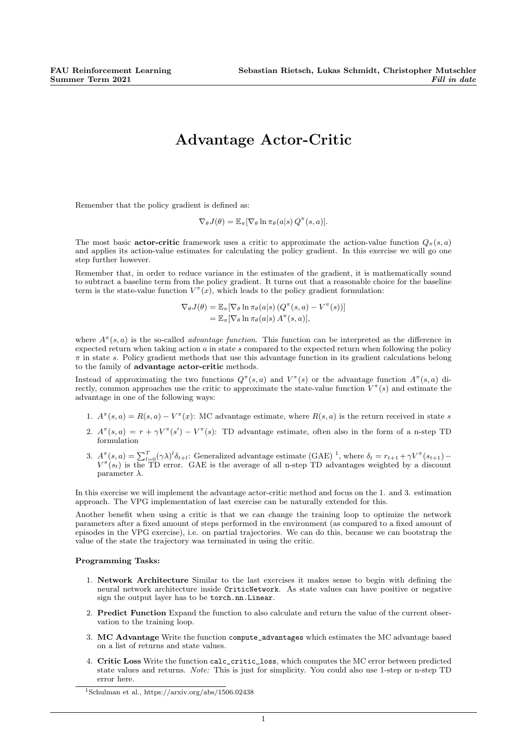## Advantage Actor-Critic

Remember that the policy gradient is defined as:

$$
\nabla_{\theta} J(\theta) = \mathbb{E}_{\pi} [\nabla_{\theta} \ln \pi_{\theta}(a|s) Q^{\pi}(s, a)].
$$

The most basic **actor-critic** framework uses a critic to approximate the action-value function  $Q_{\pi}(s, a)$ and applies its action-value estimates for calculating the policy gradient. In this exercise we will go one step further however.

Remember that, in order to reduce variance in the estimates of the gradient, it is mathematically sound to subtract a baseline term from the policy gradient. It turns out that a reasonable choice for the baseline term is the state-value function  $V^{\pi}(x)$ , which leads to the policy gradient formulation:

$$
\nabla_{\theta} J(\theta) = \mathbb{E}_{\pi} [\nabla_{\theta} \ln \pi_{\theta}(a|s) (Q^{\pi}(s, a) - V^{\pi}(s))]
$$
  
=  $\mathbb{E}_{\pi} [\nabla_{\theta} \ln \pi_{\theta}(a|s) A^{\pi}(s, a)],$ 

where  $A^{\pi}(s, a)$  is the so-called *advantage function*. This function can be interpreted as the difference in expected return when taking action  $a$  in state  $s$  compared to the expected return when following the policy  $\pi$  in state s. Policy gradient methods that use this advantage function in its gradient calculations belong to the family of advantage actor-critic methods.

Instead of approximating the two functions  $Q^{\pi}(s, a)$  and  $V^{\pi}(s)$  or the advantage function  $A^{\pi}(s, a)$  directly, common approaches use the critic to approximate the state-value function  $V^{\pi}(s)$  and estimate the advantage in one of the following ways:

- 1.  $A^{\pi}(s, a) = R(s, a) V^{\pi}(x)$ : MC advantage estimate, where  $R(s, a)$  is the return received in state s
- 2.  $A^{\pi}(s, a) = r + \gamma V^{\pi}(s') V^{\pi}(s)$ : TD advantage estimate, often also in the form of a n-step TD formulation
- 3.  $A^{\pi}(s, a) = \sum_{l=0}^{T} (\gamma \lambda)^{l} \delta_{t+l}$ : Generalized advantage estimate (GAE)<sup>1</sup>, where  $\delta_t = r_{t+1} + \gamma V^{\pi}(s_{t+1}) V^{\pi}(s_t)$  is the TD error. GAE is the average of all n-step TD advantages weighted by a discount parameter  $\lambda$ .

In this exercise we will implement the advantage actor-critic method and focus on the 1. and 3. estimation approach. The VPG implementation of last exercise can be naturally extended for this.

Another benefit when using a critic is that we can change the training loop to optimize the network parameters after a fixed amount of steps performed in the environment (as compared to a fixed amount of episodes in the VPG exercise), i.e. on partial trajectories. We can do this, because we can bootstrap the value of the state the trajectory was terminated in using the critic.

## Programming Tasks:

- 1. Network Architecture Similar to the last exercises it makes sense to begin with defining the neural network architecture inside CriticNetwork. As state values can have positive or negative sign the output layer has to be torch.nn.Linear.
- 2. Predict Function Expand the function to also calculate and return the value of the current observation to the training loop.
- 3. MC Advantage Write the function compute\_advantages which estimates the MC advantage based on a list of returns and state values.
- 4. Critic Loss Write the function calc\_critic\_loss, which computes the MC error between predicted state values and returns. Note: This is just for simplicity. You could also use 1-step or n-step TD error here.

<sup>&</sup>lt;sup>1</sup>Schulman et al., https://arxiv.org/abs/1506.02438